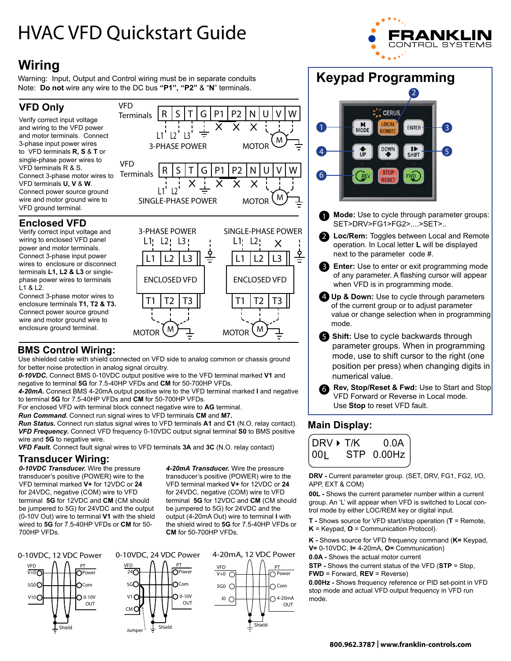# HVAC VFD Quickstart Guide



# **Wiring**

Warning: Input, Output and Control wiring must be in separate conduits Note: **Do not** wire any wire to the DC bus **"P1", "P2"** & "**N**" terminals.

VFD

VFD

 $L1$   $L2$   $L3$ 

ŧ

L1 L2

### **VFD Only**

Verify correct input voltage and wiring to the VFD power and motor terminals. Connect 3-phase input power wires to VFD terminals **R, S** & **T** or single-phase power wires to VFD terminals R & S. Connect 3-phase motor wires to VFD terminals **U, V** & **W**. Connect power source ground wire and motor ground wire to VFD ground terminal. **Terminals Terminals** 

#### **Enclosed VFD**

Verify correct input voltage and wiring to enclosed VFD panel power and motor terminals. Connect 3-phase input power wires to enclosure or disconnect terminals **L1, L2 & L3** or singlephase power wires to terminals L1 & L2.

Connect 3-phase motor wires to enclosure terminals **T1, T2 & T3.** Connect power source ground wire and motor ground wire to enclosure ground terminal.



Use shielded cable with shield connected on VFD side to analog common or chassis ground for better noise protection in analog signal circuitry.

*0-10VDC.* Connect BMS 0-10VDC output positive wire to the VFD terminal marked **V1** and negative to terminal **5G** for 7.5-40HP VFDs and **CM** for 50-700HP VFDs.

*4-20mA.* Connect BMS 4-20mA output positive wire to the VFD terminal marked **I** and negative to terminal **5G** for 7.5-40HP VFDs and **CM** for 50-700HP VFDs.

For enclosed VFD with terminal block connect negative wire to **AG** terminal.

*Run Command.* Connect run signal wires to VFD terminals **CM** and **M7.** 

*Run Status.* Connect run status signal wires to VFD terminals **A1** and **C1** (N.O. relay contact). *VFD Frequency.* Connect VFD frequency 0-10VDC output signal terminal **S0** to BMS positive wire and **5G** to negative wire.

*VFD Fault.* Connect fault signal wires to VFD terminals **3A** and **3C** (N.O. relay contact)

#### **Transducer Wiring:**

*0-10VDC Transducer.* Wire the pressure transducer's positive (POWER) wire to the VFD terminal marked **V+** for 12VDC or **24** for 24VDC, negative (COM) wire to VFD terminal **5G** for 12VDC and **CM** (CM should be jumpered to 5G) for 24VDC and the output (0-10V Out) wire to terminal **V1** with the shield wired to **5G** for 7.5-40HP VFDs or **CM** for 50- 700HP VFDs.

*4-20mA Transducer.* Wire the pressure transducer's positive (POWER) wire to the VFD terminal marked **V+** for 12VDC or **24** for 24VDC, negative (COM) wire to VFD terminal **5G** for 12VDC and **CM** (CM should be jumpered to 5G) for 24VDC and the output (4-20mA Out) wire to terminal **I** with the shield wired to **5G** for 7.5-40HP VFDs or **CM** for 50-700HP VFDs.

> PT Power ○ Com  $\bigcap$  4-20mA **OUT**

Shield

T1 |T2 |T3 || |T1 |T2 |T3

ENCLOSED VFD | ENCLOSED VFD

 $M$  MOTOR  $(M)$   $\rightarrow$  MOTOR  $(M)$ 



 $\Omega$ <sub>0-10V</sub> OUT

Shield







- **Mode:** Use to cycle through parameter groups: SET>DRV>FG1>FG2>....>SET>..
- 2 Loc/Rem: Toggles between Local and Remote operation. In Local letter **L** will be displayed next to the parameter code #.
- **Enter:** Use to enter or exit programming mode of any parameter. A flashing cursor will appear when VFD is in programming mode.
- **Up & Down:** Use to cycle through parameters 4 of the current group or to adjust parameter value or change selection when in programming mode.
- **S** Shift: Use to cycle backwards through parameter groups. When in programming mode, use to shift cursor to the right (one position per press) when changing digits in numerical value.
- **Rev, Stop/Reset & Fwd:** Use to Start and Stop VFD Forward or Reverse in Local mode. Use **Stop** to reset VFD fault. 6

#### **Main Display:**



**DRV -** Current parameter group. (SET, DRV, FG1, FG2, I/O, APP, EXT & COM)

**00L -** Shows the current parameter number within a current group. An 'L' will appear when VFD is switched to Local control mode by either LOC/REM key or digital input.

**T -** Shows source for VFD start/stop operation (**T** = Remote, **K** = Keypad, **O** = Communication Protocol).

**K -** Shows source for VFD frequency command (**K=** Keypad, **V=** 0-10VDC, **I=** 4-20mA, **O=** Communication)

**0.0A -** Shows the actual motor current

- **STP** Shows the current status of the VFD (**STP** = Stop,
- **FWD** = Forward, **REV** = Reverse)

**0.00Hz -** Shows frequency reference or PID set-point in VFD stop mode and actual VFD output frequency in VFD run mode.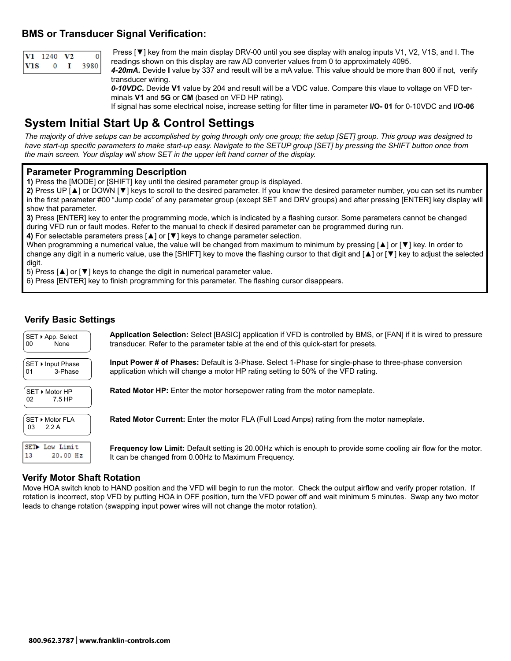#### **BMS or Transducer Signal Verification:**

|            | <b>V1</b> 1240 | V2 |        |
|------------|----------------|----|--------|
| <b>VIS</b> |                |    | 3980 L |

Press [▼] key from the main display DRV-00 until you see display with analog inputs V1, V2, V1S, and I. The readings shown on this display are raw AD converter values from 0 to approximately 4095.

*4-20mA.* Devide **I** value by 337 and result will be a mA value. This value should be more than 800 if not, verify transducer wiring.

*0-10VDC.* Devide **V1** value by 204 and result will be a VDC value. Compare this vlaue to voltage on VFD terminals **V1** and **5G** or **CM** (based on VFD HP rating).

If signal has some electrical noise, increase setting for filter time in parameter **I/O- 01** for 0-10VDC and **I/O-06**

# **System Initial Start Up & Control Settings**

*The majority of drive setups can be accomplished by going through only one group; the setup [SET] group. This group was designed to have start-up specific parameters to make start-up easy. Navigate to the SETUP group [SET] by pressing the SHIFT button once from the main screen. Your display will show SET in the upper left hand corner of the display.*

#### **Parameter Programming Description**

**1)** Press the [MODE] or [SHIFT] key until the desired parameter group is displayed.

**2)** Press UP [▲] or DOWN [▼] keys to scroll to the desired parameter. If you know the desired parameter number, you can set its number in the first parameter #00 "Jump code" of any parameter group (except SET and DRV groups) and after pressing [ENTER] key display will show that parameter.

**3)** Press [ENTER] key to enter the programming mode, which is indicated by a flashing cursor. Some parameters cannot be changed during VFD run or fault modes. Refer to the manual to check if desired parameter can be programmed during run.

**4)** For selectable parameters press [▲] or [▼] keys to change parameter selection.

When programming a numerical value, the value will be changed from maximum to minimum by pressing [▲] or [▼] key. In order to change any digit in a numeric value, use the [SHIFT] key to move the flashing cursor to that digit and [▲] or [▼] key to adjust the selected digit.

5) Press [▲] or [▼] keys to change the digit in numerical parameter value.

6) Press [ENTER] key to finish programming for this parameter. The flashing cursor disappears.

#### **Verify Basic Settings**

| SET ▶ App. Select<br>00<br>None    | Application Selection: Select [BASIC] application if VFD is controlled by BMS, or [FAN] if it is wired to pressure<br>transducer. Refer to the parameter table at the end of this quick-start for presets. |
|------------------------------------|------------------------------------------------------------------------------------------------------------------------------------------------------------------------------------------------------------|
| SET ▶ Input Phase<br>3-Phase<br>01 | <b>Input Power # of Phases:</b> Default is 3-Phase. Select 1-Phase for single-phase to three-phase conversion<br>application which will change a motor HP rating setting to 50% of the VFD rating.         |
| SET ▶ Motor HP<br>7.5 HP<br>02     | <b>Rated Motor HP:</b> Enter the motor horsepower rating from the motor nameplate.                                                                                                                         |
| SET ▶ Motor FLA<br>2.2 A<br>03     | <b>Rated Motor Current:</b> Enter the motor FLA (Full Load Amps) rating from the motor nameplate.                                                                                                          |
| SET Low Limit<br>13<br>20.00 Hz    | <b>Frequency low Limit:</b> Default setting is 20.00Hz which is enouph to provide some cooling air flow for the motor.<br>It can be changed from 0.00Hz to Maximum Frequency.                              |

#### **Verify Motor Shaft Rotation**

Move HOA switch knob to HAND position and the VFD will begin to run the motor. Check the output airflow and verify proper rotation. If rotation is incorrect, stop VFD by putting HOA in OFF position, turn the VFD power off and wait minimum 5 minutes. Swap any two motor leads to change rotation (swapping input power wires will not change the motor rotation).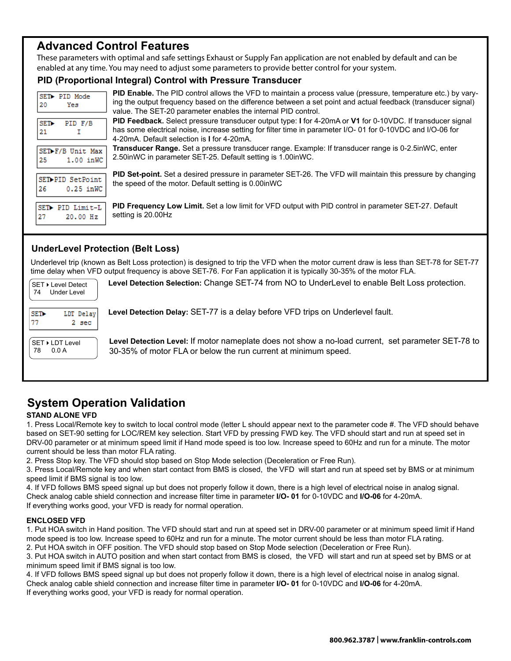## **Advanced Control Features**

These parameters with optimal and safe settings Exhaust or Supply Fan application are not enabled by default and can be enabled at any time. You may need to adjust some parameters to provide better control for your system.

#### **PID (Proportional Integral) Control with Pressure Transducer**

| SET PID Mode<br>20<br>Yes              | <b>PID Enable.</b> The PID control allows the VFD to maintain a process value (pressure, temperature etc.) by vary-<br>ing the output frequency based on the difference between a set point and actual feedback (transducer signal)<br>value. The SET-20 parameter enables the internal PID control. |
|----------------------------------------|------------------------------------------------------------------------------------------------------------------------------------------------------------------------------------------------------------------------------------------------------------------------------------------------------|
| SE <sub>T</sub><br>PID F/B<br>21       | PID Feedback. Select pressure transducer output type: I for 4-20mA or V1 for 0-10VDC. If transducer signal<br>has some electrical noise, increase setting for filter time in parameter I/O-01 for 0-10VDC and I/O-06 for<br>4-20mA. Default selection is I for 4-20mA.                               |
| SET-F/B Unit Max<br>25<br>$1.00$ in WC | Transducer Range. Set a pressure transducer range. Example: If transducer range is 0-2.5inWC, enter<br>2.50inWC in parameter SET-25. Default setting is 1.00inWC.                                                                                                                                    |
| SET-PID SetPoint<br>$0.25$ in WC<br>26 | PID Set-point. Set a desired pressure in parameter SET-26. The VFD will maintain this pressure by changing<br>the speed of the motor. Default setting is 0.00inWC                                                                                                                                    |
| SET> PID Limit-L<br>27<br>20.00 Hz     | PID Frequency Low Limit. Set a low limit for VFD output with PID control in parameter SET-27. Default<br>setting is 20.00Hz                                                                                                                                                                          |

#### **UnderLevel Protection (Belt Loss)**

Underlevel trip (known as Belt Loss protection) is designed to trip the VFD when the motor current draw is less than SET-78 for SET-77 time delay when VFD output frequency is above SET-76. For Fan application it is typically 30-35% of the motor FLA.

| SET ▶ Level Detect<br>Under Level<br>74 | Level Detection Selection: Change SET-74 from NO to UnderLevel to enable Belt Loss protection.                                                                       |
|-----------------------------------------|----------------------------------------------------------------------------------------------------------------------------------------------------------------------|
| LDT Delay<br>SET><br>77<br>2 sec        | Level Detection Delay: SET-77 is a delay before VFD trips on Underlevel fault.                                                                                       |
| SET ▶ LDT Level<br>78<br>0.0 A          | Level Detection Level: If motor nameplate does not show a no-load current, set parameter SET-78 to<br>30-35% of motor FLA or below the run current at minimum speed. |

# **System Operation Validation**

#### **STAND ALONE VFD**

1. Press Local/Remote key to switch to local control mode (letter L should appear next to the parameter code #. The VFD should behave based on SET-90 setting for LOC/REM key selection. Start VFD by pressing FWD key. The VFD should start and run at speed set in DRV-00 parameter or at minimum speed limit if Hand mode speed is too low. Increase speed to 60Hz and run for a minute. The motor current should be less than motor FLA rating.

2. Press Stop key. The VFD should stop based on Stop Mode selection (Deceleration or Free Run).

3. Press Local/Remote key and when start contact from BMS is closed, the VFD will start and run at speed set by BMS or at minimum speed limit if BMS signal is too low.

4. If VFD follows BMS speed signal up but does not properly follow it down, there is a high level of electrical noise in analog signal. Check analog cable shield connection and increase filter time in parameter **I/O- 01** for 0-10VDC and **I/O-06** for 4-20mA. If everything works good, your VFD is ready for normal operation.

#### **ENCLOSED VFD**

1. Put HOA switch in Hand position. The VFD should start and run at speed set in DRV-00 parameter or at minimum speed limit if Hand mode speed is too low. Increase speed to 60Hz and run for a minute. The motor current should be less than motor FLA rating. 2. Put HOA switch in OFF position. The VFD should stop based on Stop Mode selection (Deceleration or Free Run).

3. Put HOA switch in AUTO position and when start contact from BMS is closed, the VFD will start and run at speed set by BMS or at minimum speed limit if BMS signal is too low.

4. If VFD follows BMS speed signal up but does not properly follow it down, there is a high level of electrical noise in analog signal. Check analog cable shield connection and increase filter time in parameter **I/O- 01** for 0-10VDC and **I/O-06** for 4-20mA. If everything works good, your VFD is ready for normal operation.